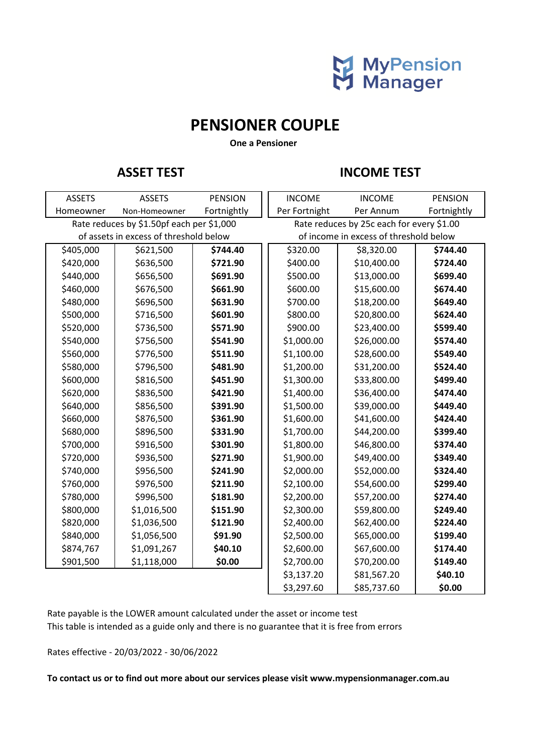

## **PENSIONER COUPLE**

 **One a Pensioner**

### **ASSET TEST INCOME TEST**

| <b>ASSETS</b>                             | <b>ASSETS</b> | <b>PENSION</b> | <b>INCOME</b>                             | <b>INCOME</b> | <b>PENSION</b> |
|-------------------------------------------|---------------|----------------|-------------------------------------------|---------------|----------------|
| Homeowner                                 | Non-Homeowner | Fortnightly    | Per Fortnight                             | Per Annum     | Fortnightly    |
| Rate reduces by \$1.50pf each per \$1,000 |               |                | Rate reduces by 25c each for every \$1.00 |               |                |
| of assets in excess of threshold below    |               |                | of income in excess of threshold below    |               |                |
| \$405,000                                 | \$621,500     | \$744.40       | \$320.00                                  | \$8,320.00    | \$744.40       |
| \$420,000                                 | \$636,500     | \$721.90       | \$400.00                                  | \$10,400.00   | \$724.40       |
| \$440,000                                 | \$656,500     | \$691.90       | \$500.00                                  | \$13,000.00   | \$699.40       |
| \$460,000                                 | \$676,500     | \$661.90       | \$600.00                                  | \$15,600.00   | \$674.40       |
| \$480,000                                 | \$696,500     | \$631.90       | \$700.00                                  | \$18,200.00   | \$649.40       |
| \$500,000                                 | \$716,500     | \$601.90       | \$800.00                                  | \$20,800.00   | \$624.40       |
| \$520,000                                 | \$736,500     | \$571.90       | \$900.00                                  | \$23,400.00   | \$599.40       |
| \$540,000                                 | \$756,500     | \$541.90       | \$1,000.00                                | \$26,000.00   | \$574.40       |
| \$560,000                                 | \$776,500     | \$511.90       | \$1,100.00                                | \$28,600.00   | \$549.40       |
| \$580,000                                 | \$796,500     | \$481.90       | \$1,200.00                                | \$31,200.00   | \$524.40       |
| \$600,000                                 | \$816,500     | \$451.90       | \$1,300.00                                | \$33,800.00   | \$499.40       |
| \$620,000                                 | \$836,500     | \$421.90       | \$1,400.00                                | \$36,400.00   | \$474.40       |
| \$640,000                                 | \$856,500     | \$391.90       | \$1,500.00                                | \$39,000.00   | \$449.40       |
| \$660,000                                 | \$876,500     | \$361.90       | \$1,600.00                                | \$41,600.00   | \$424.40       |
| \$680,000                                 | \$896,500     | \$331.90       | \$1,700.00                                | \$44,200.00   | \$399.40       |
| \$700,000                                 | \$916,500     | \$301.90       | \$1,800.00                                | \$46,800.00   | \$374.40       |
| \$720,000                                 | \$936,500     | \$271.90       | \$1,900.00                                | \$49,400.00   | \$349.40       |
| \$740,000                                 | \$956,500     | \$241.90       | \$2,000.00                                | \$52,000.00   | \$324.40       |
| \$760,000                                 | \$976,500     | \$211.90       | \$2,100.00                                | \$54,600.00   | \$299.40       |
| \$780,000                                 | \$996,500     | \$181.90       | \$2,200.00                                | \$57,200.00   | \$274.40       |
| \$800,000                                 | \$1,016,500   | \$151.90       | \$2,300.00                                | \$59,800.00   | \$249.40       |
| \$820,000                                 | \$1,036,500   | \$121.90       | \$2,400.00                                | \$62,400.00   | \$224.40       |
| \$840,000                                 | \$1,056,500   | \$91.90        | \$2,500.00                                | \$65,000.00   | \$199.40       |
| \$874,767                                 | \$1,091,267   | \$40.10        | \$2,600.00                                | \$67,600.00   | \$174.40       |
| \$901,500                                 | \$1,118,000   | \$0.00         | \$2,700.00                                | \$70,200.00   | \$149.40       |
|                                           |               |                | \$3,137.20                                | \$81,567.20   | \$40.10        |
|                                           |               |                | \$3,297.60                                | \$85,737.60   | \$0.00         |

This table is intended as a guide only and there is no guarantee that it is free from errors Rate payable is the LOWER amount calculated under the asset or income test

Rates effective - 20/03/2022 - 30/06/2022

**To contact us or to find out more about our services please visit www.mypensionmanager.com.au**